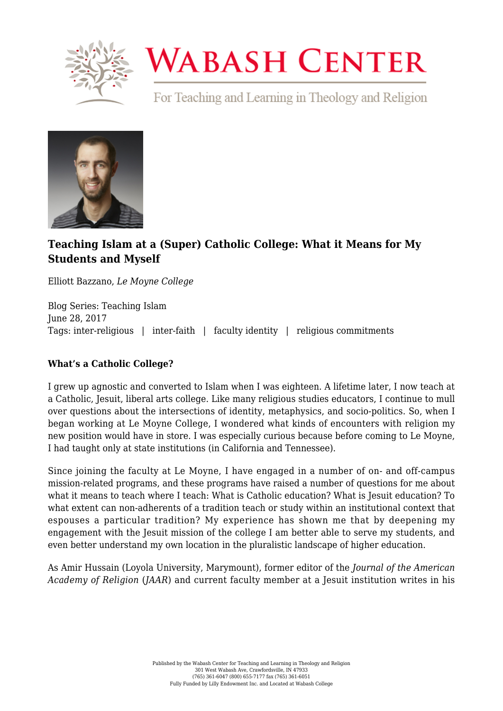

# **WABASH CENTER**

For Teaching and Learning in Theology and Religion



## **[Teaching Islam at a \(Super\) Catholic College: What it Means for My](https://www.wabashcenter.wabash.edu/2017/06/teaching-islam-super-catholic-college-means-students/) [Students and Myself](https://www.wabashcenter.wabash.edu/2017/06/teaching-islam-super-catholic-college-means-students/)**

Elliott Bazzano, *Le Moyne College*

Blog Series: Teaching Islam June 28, 2017 Tags: inter-religious | inter-faith | faculty identity | religious commitments

### **What's a Catholic College?**

I grew up agnostic and converted to Islam when I was eighteen. A lifetime later, I now teach at a Catholic, Jesuit, liberal arts college. Like many religious studies educators, I continue to mull over questions about the intersections of identity, metaphysics, and socio-politics. So, when I began working at Le Moyne College, I wondered what kinds of encounters with religion my new position would have in store. I was especially curious because before coming to Le Moyne, I had taught only at state institutions (in California and Tennessee).

Since joining the faculty at Le Moyne, I have engaged in a number of on- and off-campus mission-related programs, and these programs have raised a number of questions for me about what it means to teach where I teach: What is Catholic education? What is Jesuit education? To what extent can non-adherents of a tradition teach or study within an institutional context that espouses a particular tradition? My experience has shown me that by deepening my engagement with the Jesuit mission of the college I am better able to serve my students, and even better understand my own location in the pluralistic landscape of higher education.

As Amir Hussain (Loyola University, Marymount), former editor of the *Journal of the American Academy of Religion* (*JAAR*) and current faculty member at a Jesuit institution writes in his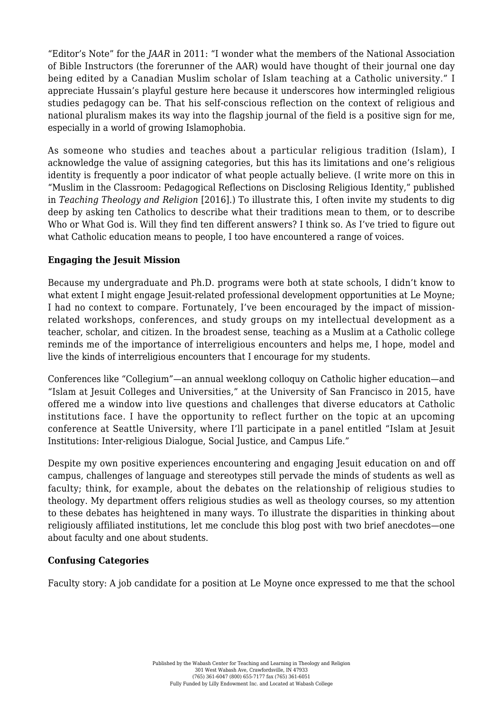"Editor's Note" for the *JAAR* in 2011: "I wonder what the members of the National Association of Bible Instructors (the forerunner of the AAR) would have thought of their journal one day being edited by a Canadian Muslim scholar of Islam teaching at a Catholic university." I appreciate Hussain's playful gesture here because it underscores how intermingled religious studies pedagogy can be. That his self-conscious reflection on the context of religious and national pluralism makes its way into the flagship journal of the field is a positive sign for me, especially in a world of growing Islamophobia.

As someone who studies and teaches about a particular religious tradition (Islam), I acknowledge the value of assigning categories, but this has its limitations and one's religious identity is frequently a poor indicator of what people actually believe. (I write more on this in "Muslim in the Classroom: Pedagogical Reflections on Disclosing Religious Identity," published in *Teaching Theology and Religion* [2016].) To illustrate this, I often invite my students to dig deep by asking ten Catholics to describe what their traditions mean to them, or to describe Who or What God is. Will they find ten different answers? I think so. As I've tried to figure out what Catholic education means to people, I too have encountered a range of voices.

#### **Engaging the Jesuit Mission**

Because my undergraduate and Ph.D. programs were both at state schools, I didn't know to what extent I might engage Jesuit-related professional development opportunities at Le Moyne; I had no context to compare. Fortunately, I've been encouraged by the impact of missionrelated workshops, conferences, and study groups on my intellectual development as a teacher, scholar, and citizen. In the broadest sense, teaching as a Muslim at a Catholic college reminds me of the importance of interreligious encounters and helps me, I hope, model and live the kinds of interreligious encounters that I encourage for my students.

Conferences like "Collegium"—an annual weeklong colloquy on Catholic higher education—and "Islam at Jesuit Colleges and Universities," at the University of San Francisco in 2015, have offered me a window into live questions and challenges that diverse educators at Catholic institutions face. I have the opportunity to reflect further on the topic at an upcoming conference at Seattle University, where I'll participate in a panel entitled "Islam at Jesuit Institutions: Inter-religious Dialogue, Social Justice, and Campus Life."

Despite my own positive experiences encountering and engaging Jesuit education on and off campus, challenges of language and stereotypes still pervade the minds of students as well as faculty; think, for example, about the debates on the relationship of religious studies to theology. My department offers religious studies as well as theology courses, so my attention to these debates has heightened in many ways. To illustrate the disparities in thinking about religiously affiliated institutions, let me conclude this blog post with two brief anecdotes—one about faculty and one about students.

#### **Confusing Categories**

Faculty story: A job candidate for a position at Le Moyne once expressed to me that the school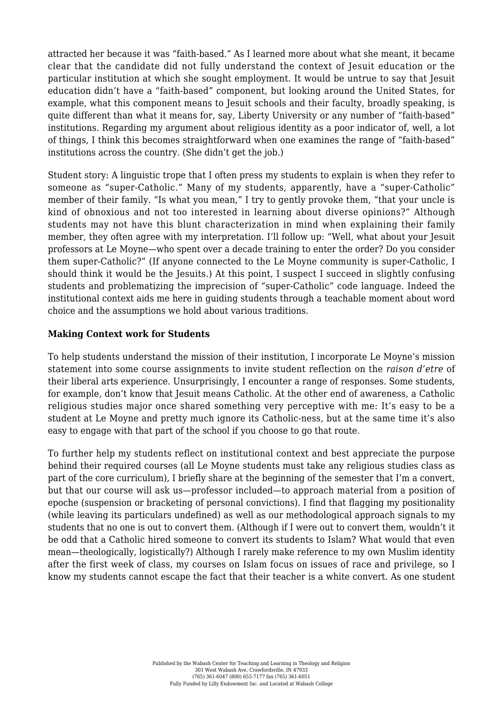attracted her because it was "faith-based." As I learned more about what she meant, it became clear that the candidate did not fully understand the context of Jesuit education or the particular institution at which she sought employment. It would be untrue to say that Jesuit education didn't have a "faith-based" component, but looking around the United States, for example, what this component means to Jesuit schools and their faculty, broadly speaking, is quite different than what it means for, say, Liberty University or any number of "faith-based" institutions. Regarding my argument about religious identity as a poor indicator of, well, a lot of things, I think this becomes straightforward when one examines the range of "faith-based" institutions across the country. (She didn't get the job.)

Student story: A linguistic trope that I often press my students to explain is when they refer to someone as "super-Catholic." Many of my students, apparently, have a "super-Catholic" member of their family. "Is what you mean," I try to gently provoke them, "that your uncle is kind of obnoxious and not too interested in learning about diverse opinions?" Although students may not have this blunt characterization in mind when explaining their family member, they often agree with my interpretation. I'll follow up: "Well, what about your Jesuit professors at Le Moyne—who spent over a decade training to enter the order? Do you consider them super-Catholic?" (If anyone connected to the Le Moyne community is super-Catholic, I should think it would be the Jesuits.) At this point, I suspect I succeed in slightly confusing students and problematizing the imprecision of "super-Catholic" code language. Indeed the institutional context aids me here in guiding students through a teachable moment about word choice and the assumptions we hold about various traditions.

#### **Making Context work for Students**

To help students understand the mission of their institution, I incorporate Le Moyne's mission statement into some course assignments to invite student reflection on the *raison d'etre* of their liberal arts experience. Unsurprisingly, I encounter a range of responses. Some students, for example, don't know that Jesuit means Catholic. At the other end of awareness, a Catholic religious studies major once shared something very perceptive with me: It's easy to be a student at Le Moyne and pretty much ignore its Catholic-ness, but at the same time it's also easy to engage with that part of the school if you choose to go that route.

To further help my students reflect on institutional context and best appreciate the purpose behind their required courses (all Le Moyne students must take any religious studies class as part of the core curriculum), I briefly share at the beginning of the semester that I'm a convert, but that our course will ask us—professor included—to approach material from a position of epoche (suspension or bracketing of personal convictions). I find that flagging my positionality (while leaving its particulars undefined) as well as our methodological approach signals to my students that no one is out to convert them. (Although if I were out to convert them, wouldn't it be odd that a Catholic hired someone to convert its students to Islam? What would that even mean—theologically, logistically?) Although I rarely make reference to my own Muslim identity after the first week of class, my courses on Islam focus on issues of race and privilege, so I know my students cannot escape the fact that their teacher is a white convert. As one student